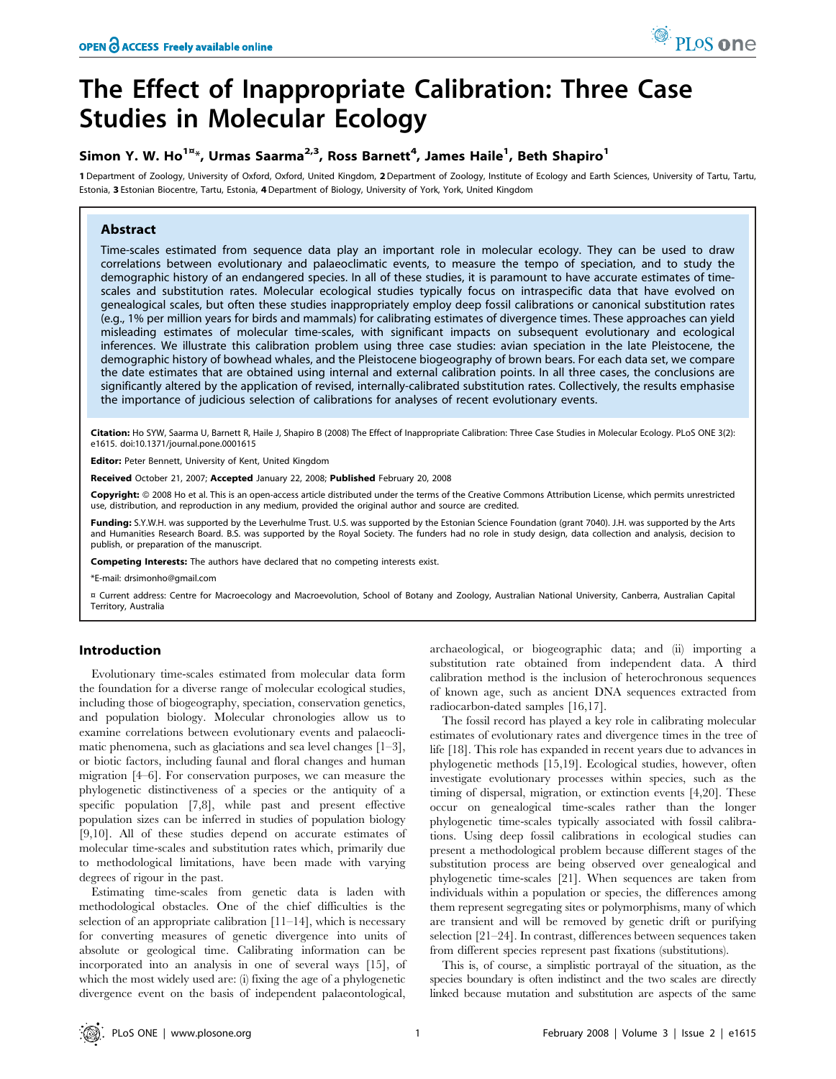# The Effect of Inappropriate Calibration: Three Case Studies in Molecular Ecology

## Simon Y. W. Ho<sup>1¤\*</sup>, Urmas Saarma<sup>2,3</sup>, Ross Barnett<sup>4</sup>, James Haile<sup>1</sup>, Beth Shapiro<sup>1</sup>

1 Department of Zoology, University of Oxford, Oxford, United Kingdom, 2Department of Zoology, Institute of Ecology and Earth Sciences, University of Tartu, Tartu, Estonia, 3 Estonian Biocentre, Tartu, Estonia, 4Department of Biology, University of York, York, United Kingdom

## Abstract

Time-scales estimated from sequence data play an important role in molecular ecology. They can be used to draw correlations between evolutionary and palaeoclimatic events, to measure the tempo of speciation, and to study the demographic history of an endangered species. In all of these studies, it is paramount to have accurate estimates of timescales and substitution rates. Molecular ecological studies typically focus on intraspecific data that have evolved on genealogical scales, but often these studies inappropriately employ deep fossil calibrations or canonical substitution rates (e.g., 1% per million years for birds and mammals) for calibrating estimates of divergence times. These approaches can yield misleading estimates of molecular time-scales, with significant impacts on subsequent evolutionary and ecological inferences. We illustrate this calibration problem using three case studies: avian speciation in the late Pleistocene, the demographic history of bowhead whales, and the Pleistocene biogeography of brown bears. For each data set, we compare the date estimates that are obtained using internal and external calibration points. In all three cases, the conclusions are significantly altered by the application of revised, internally-calibrated substitution rates. Collectively, the results emphasise the importance of judicious selection of calibrations for analyses of recent evolutionary events.

Citation: Ho SYW, Saarma U, Barnett R, Haile J, Shapiro B (2008) The Effect of Inappropriate Calibration: Three Case Studies in Molecular Ecology. PLoS ONE 3(2): e1615. doi:10.1371/journal.pone.0001615

Editor: Peter Bennett, University of Kent, United Kingdom

Received October 21, 2007; Accepted January 22, 2008; Published February 20, 2008

Copyright: 2008 Ho et al. This is an open-access article distributed under the terms of the Creative Commons Attribution License, which permits unrestricted use, distribution, and reproduction in any medium, provided the original author and source are credited.

**Funding:** S.Y.W.H. was supported by the Leverhulme Trust. U.S. was supported by the Estonian Science Foundation (grant 7040). J.H. was supported by the Arts and Humanities Research Board. B.S. was supported by the Royal Society. The funders had no role in study design, data collection and analysis, decision to publish, or preparation of the manuscript.

Competing Interests: The authors have declared that no competing interests exist.

\*E-mail: drsimonho@gmail.com

¤ Current address: Centre for Macroecology and Macroevolution, School of Botany and Zoology, Australian National University, Canberra, Australian Capital Territory, Australia

## Introduction

Evolutionary time-scales estimated from molecular data form the foundation for a diverse range of molecular ecological studies, including those of biogeography, speciation, conservation genetics, and population biology. Molecular chronologies allow us to examine correlations between evolutionary events and palaeoclimatic phenomena, such as glaciations and sea level changes [1–3], or biotic factors, including faunal and floral changes and human migration [4–6]. For conservation purposes, we can measure the phylogenetic distinctiveness of a species or the antiquity of a specific population [7,8], while past and present effective population sizes can be inferred in studies of population biology [9,10]. All of these studies depend on accurate estimates of molecular time-scales and substitution rates which, primarily due to methodological limitations, have been made with varying degrees of rigour in the past.

Estimating time-scales from genetic data is laden with methodological obstacles. One of the chief difficulties is the selection of an appropriate calibration [11–14], which is necessary for converting measures of genetic divergence into units of absolute or geological time. Calibrating information can be incorporated into an analysis in one of several ways [15], of which the most widely used are: (i) fixing the age of a phylogenetic divergence event on the basis of independent palaeontological,

archaeological, or biogeographic data; and (ii) importing a substitution rate obtained from independent data. A third calibration method is the inclusion of heterochronous sequences of known age, such as ancient DNA sequences extracted from radiocarbon-dated samples [16,17].

The fossil record has played a key role in calibrating molecular estimates of evolutionary rates and divergence times in the tree of life [18]. This role has expanded in recent years due to advances in phylogenetic methods [15,19]. Ecological studies, however, often investigate evolutionary processes within species, such as the timing of dispersal, migration, or extinction events [4,20]. These occur on genealogical time-scales rather than the longer phylogenetic time-scales typically associated with fossil calibrations. Using deep fossil calibrations in ecological studies can present a methodological problem because different stages of the substitution process are being observed over genealogical and phylogenetic time-scales [21]. When sequences are taken from individuals within a population or species, the differences among them represent segregating sites or polymorphisms, many of which are transient and will be removed by genetic drift or purifying selection [21–24]. In contrast, differences between sequences taken from different species represent past fixations (substitutions).

This is, of course, a simplistic portrayal of the situation, as the species boundary is often indistinct and the two scales are directly linked because mutation and substitution are aspects of the same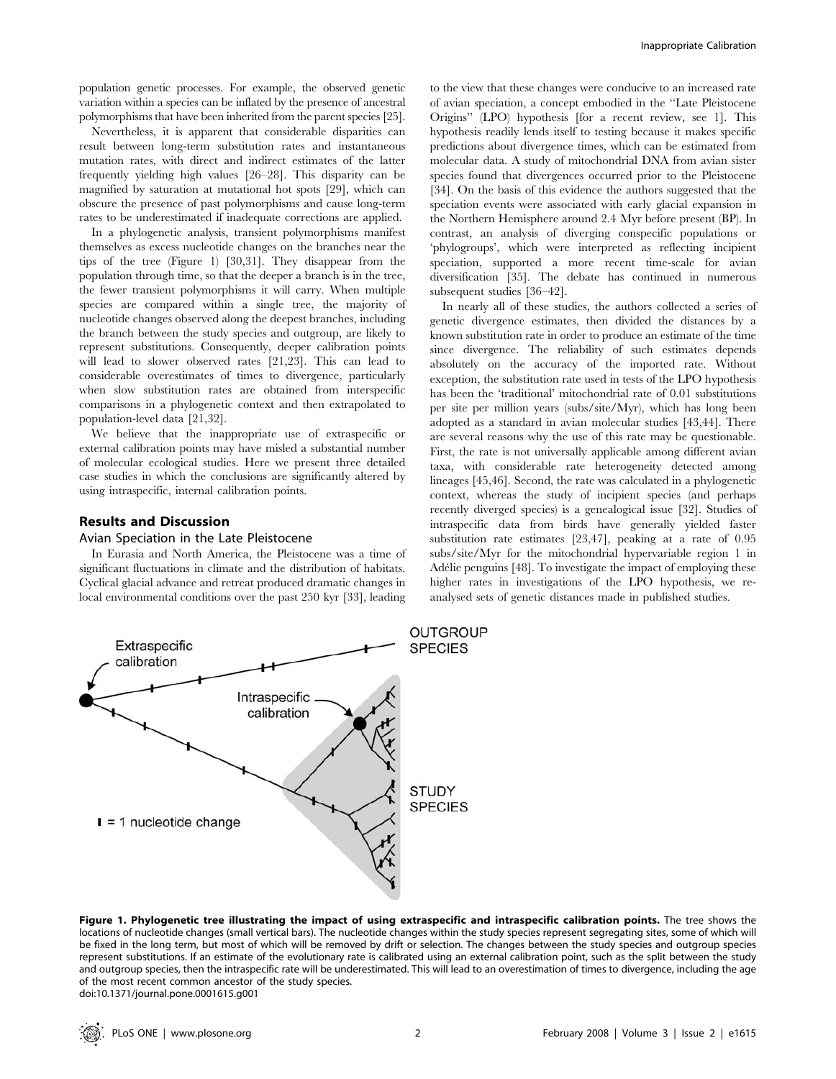population genetic processes. For example, the observed genetic variation within a species can be inflated by the presence of ancestral polymorphisms that have been inherited from the parent species [25].

Nevertheless, it is apparent that considerable disparities can result between long-term substitution rates and instantaneous mutation rates, with direct and indirect estimates of the latter frequently yielding high values [26–28]. This disparity can be magnified by saturation at mutational hot spots [29], which can obscure the presence of past polymorphisms and cause long-term rates to be underestimated if inadequate corrections are applied.

In a phylogenetic analysis, transient polymorphisms manifest themselves as excess nucleotide changes on the branches near the tips of the tree (Figure 1) [30,31]. They disappear from the population through time, so that the deeper a branch is in the tree, the fewer transient polymorphisms it will carry. When multiple species are compared within a single tree, the majority of nucleotide changes observed along the deepest branches, including the branch between the study species and outgroup, are likely to represent substitutions. Consequently, deeper calibration points will lead to slower observed rates [21,23]. This can lead to considerable overestimates of times to divergence, particularly when slow substitution rates are obtained from interspecific comparisons in a phylogenetic context and then extrapolated to population-level data [21,32].

We believe that the inappropriate use of extraspecific or external calibration points may have misled a substantial number of molecular ecological studies. Here we present three detailed case studies in which the conclusions are significantly altered by using intraspecific, internal calibration points.

## Results and Discussion

#### Avian Speciation in the Late Pleistocene

In Eurasia and North America, the Pleistocene was a time of significant fluctuations in climate and the distribution of habitats. Cyclical glacial advance and retreat produced dramatic changes in local environmental conditions over the past 250 kyr [33], leading

to the view that these changes were conducive to an increased rate of avian speciation, a concept embodied in the ''Late Pleistocene Origins'' (LPO) hypothesis [for a recent review, see 1]. This hypothesis readily lends itself to testing because it makes specific predictions about divergence times, which can be estimated from molecular data. A study of mitochondrial DNA from avian sister species found that divergences occurred prior to the Pleistocene [34]. On the basis of this evidence the authors suggested that the speciation events were associated with early glacial expansion in the Northern Hemisphere around 2.4 Myr before present (BP). In contrast, an analysis of diverging conspecific populations or 'phylogroups', which were interpreted as reflecting incipient speciation, supported a more recent time-scale for avian diversification [35]. The debate has continued in numerous subsequent studies [36–42].

In nearly all of these studies, the authors collected a series of genetic divergence estimates, then divided the distances by a known substitution rate in order to produce an estimate of the time since divergence. The reliability of such estimates depends absolutely on the accuracy of the imported rate. Without exception, the substitution rate used in tests of the LPO hypothesis has been the 'traditional' mitochondrial rate of 0.01 substitutions per site per million years (subs/site/Myr), which has long been adopted as a standard in avian molecular studies [43,44]. There are several reasons why the use of this rate may be questionable. First, the rate is not universally applicable among different avian taxa, with considerable rate heterogeneity detected among lineages [45,46]. Second, the rate was calculated in a phylogenetic context, whereas the study of incipient species (and perhaps recently diverged species) is a genealogical issue [32]. Studies of intraspecific data from birds have generally yielded faster substitution rate estimates [23,47], peaking at a rate of 0.95 subs/site/Myr for the mitochondrial hypervariable region 1 in Adélie penguins [48]. To investigate the impact of employing these higher rates in investigations of the LPO hypothesis, we reanalysed sets of genetic distances made in published studies.



Figure 1. Phylogenetic tree illustrating the impact of using extraspecific and intraspecific calibration points. The tree shows the locations of nucleotide changes (small vertical bars). The nucleotide changes within the study species represent segregating sites, some of which will be fixed in the long term, but most of which will be removed by drift or selection. The changes between the study species and outgroup species represent substitutions. If an estimate of the evolutionary rate is calibrated using an external calibration point, such as the split between the study and outgroup species, then the intraspecific rate will be underestimated. This will lead to an overestimation of times to divergence, including the age of the most recent common ancestor of the study species. doi:10.1371/journal.pone.0001615.g001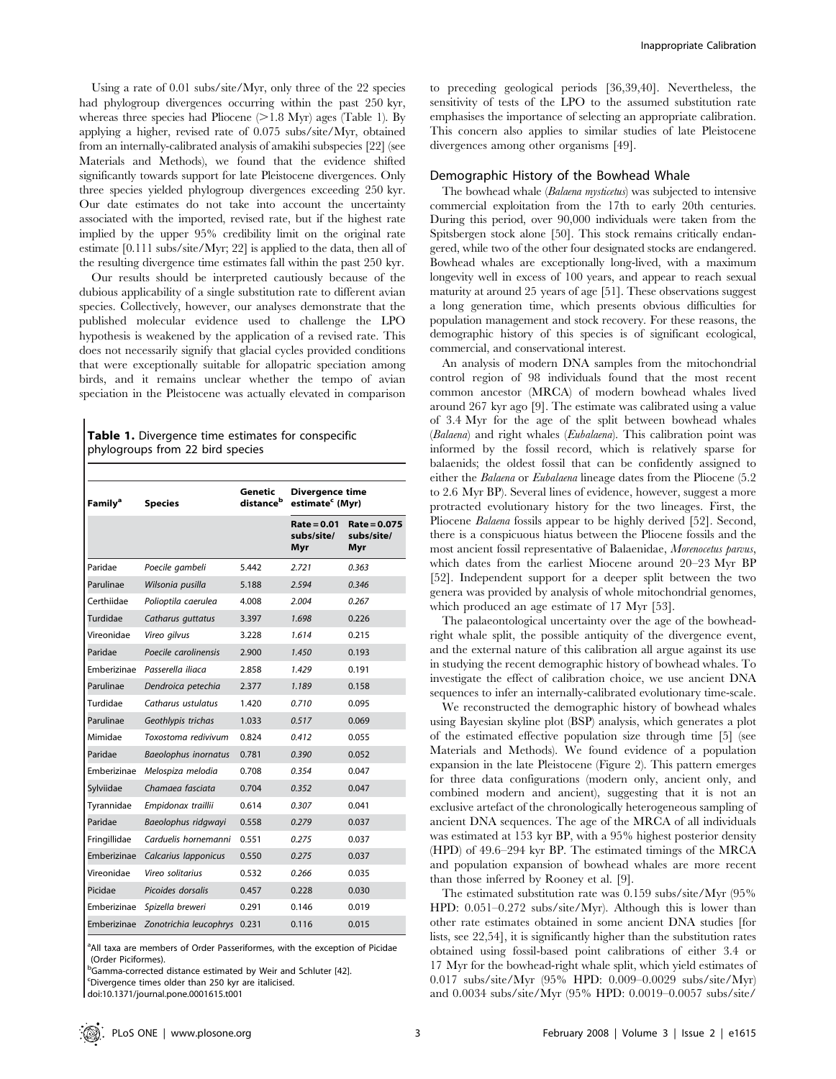Using a rate of 0.01 subs/site/Myr, only three of the 22 species had phylogroup divergences occurring within the past 250 kyr, whereas three species had Pliocene  $(>1.8$  Myr) ages (Table 1). By applying a higher, revised rate of 0.075 subs/site/Myr, obtained from an internally-calibrated analysis of amakihi subspecies [22] (see Materials and Methods), we found that the evidence shifted significantly towards support for late Pleistocene divergences. Only three species yielded phylogroup divergences exceeding 250 kyr. Our date estimates do not take into account the uncertainty associated with the imported, revised rate, but if the highest rate implied by the upper 95% credibility limit on the original rate estimate [0.111 subs/site/Myr; 22] is applied to the data, then all of the resulting divergence time estimates fall within the past 250 kyr.

Our results should be interpreted cautiously because of the dubious applicability of a single substitution rate to different avian species. Collectively, however, our analyses demonstrate that the published molecular evidence used to challenge the LPO hypothesis is weakened by the application of a revised rate. This does not necessarily signify that glacial cycles provided conditions that were exceptionally suitable for allopatric speciation among birds, and it remains unclear whether the tempo of avian speciation in the Pleistocene was actually elevated in comparison

|  |  | <b>Table 1.</b> Divergence time estimates for conspecific |  |  |
|--|--|-----------------------------------------------------------|--|--|
|  |  | phylogroups from 22 bird species                          |  |  |

| <b>Family<sup>a</sup></b> | <b>Species</b>              | Genetic<br>distanceb | <b>Divergence time</b><br>estimate <sup>c</sup> (Myr) |                                   |  |
|---------------------------|-----------------------------|----------------------|-------------------------------------------------------|-----------------------------------|--|
|                           |                             |                      | $Rate = 0.01$<br>subs/site/<br>Myr                    | Rate = 0.075<br>subs/site/<br>Myr |  |
| Paridae                   | Poecile gambeli             | 5.442                | 2.721                                                 | 0.363                             |  |
| Parulinae                 | Wilsonia pusilla            | 5.188                | 2.594                                                 | 0.346                             |  |
| Certhiidae                | Polioptila caerulea         | 4.008                | 2.004                                                 | 0.267                             |  |
| Turdidae                  | Catharus guttatus           | 3.397                | 1.698                                                 | 0.226                             |  |
| Vireonidae                | Vireo gilvus                | 3.228                | 1.614                                                 | 0.215                             |  |
| Paridae                   | Poecile carolinensis        | 2.900                | 1.450                                                 | 0.193                             |  |
| Emberizinae               | Passerella iliaca           | 2.858                | 1.429                                                 | 0.191                             |  |
| Parulinae                 | Dendroica petechia          | 2.377                | 1.189                                                 | 0.158                             |  |
| Turdidae                  | Catharus ustulatus          | 1.420                | 0.710                                                 | 0.095                             |  |
| Parulinae                 | Geothlypis trichas          | 1.033                | 0.517                                                 | 0.069                             |  |
| Mimidae                   | Toxostoma redivivum         | 0.824                | 0.412                                                 | 0.055                             |  |
| Paridae                   | <b>Baeolophus inornatus</b> | 0.781                | 0.390                                                 | 0.052                             |  |
| Emberizinae               | Melospiza melodia           | 0.708                | 0.354                                                 | 0.047                             |  |
| Sylviidae                 | Chamaea fasciata            | 0.704                | 0.352                                                 | 0.047                             |  |
| Tyrannidae                | Empidonax traillii          | 0.614                | 0.307                                                 | 0.041                             |  |
| Paridae                   | Baeolophus ridgwayi         | 0.558                | 0.279                                                 | 0.037                             |  |
| Fringillidae              | Carduelis hornemanni        | 0.551                | 0.275                                                 | 0.037                             |  |
| Emberizinae               | Calcarius Iapponicus        | 0.550                | 0.275                                                 | 0.037                             |  |
| Vireonidae                | Vireo solitarius            | 0.532                | 0.266                                                 | 0.035                             |  |
| Picidae                   | Picoides dorsalis           | 0.457                | 0.228                                                 | 0.030                             |  |
| Emberizinae               | Spizella breweri            | 0.291                | 0.146                                                 | 0.019                             |  |
| Emberizinae               | Zonotrichia leucophrys      | 0.231                | 0.116                                                 | 0.015                             |  |

<sup>a</sup>All taxa are members of Order Passeriformes, with the exception of Picidae (Order Piciformes).

<sup>b</sup>Gamma-corrected distance estimated by Weir and Schluter [42].

<sup>c</sup>Divergence times older than 250 kyr are italicised.

doi:10.1371/journal.pone.0001615.t001

to preceding geological periods [36,39,40]. Nevertheless, the sensitivity of tests of the LPO to the assumed substitution rate emphasises the importance of selecting an appropriate calibration. This concern also applies to similar studies of late Pleistocene divergences among other organisms [49].

#### Demographic History of the Bowhead Whale

The bowhead whale (Balaena mysticetus) was subjected to intensive commercial exploitation from the 17th to early 20th centuries. During this period, over 90,000 individuals were taken from the Spitsbergen stock alone [50]. This stock remains critically endangered, while two of the other four designated stocks are endangered. Bowhead whales are exceptionally long-lived, with a maximum longevity well in excess of 100 years, and appear to reach sexual maturity at around 25 years of age [51]. These observations suggest a long generation time, which presents obvious difficulties for population management and stock recovery. For these reasons, the demographic history of this species is of significant ecological, commercial, and conservational interest.

An analysis of modern DNA samples from the mitochondrial control region of 98 individuals found that the most recent common ancestor (MRCA) of modern bowhead whales lived around 267 kyr ago [9]. The estimate was calibrated using a value of 3.4 Myr for the age of the split between bowhead whales (Balaena) and right whales (Eubalaena). This calibration point was informed by the fossil record, which is relatively sparse for balaenids; the oldest fossil that can be confidently assigned to either the Balaena or Eubalaena lineage dates from the Pliocene (5.2 to 2.6 Myr BP). Several lines of evidence, however, suggest a more protracted evolutionary history for the two lineages. First, the Pliocene Balaena fossils appear to be highly derived [52]. Second, there is a conspicuous hiatus between the Pliocene fossils and the most ancient fossil representative of Balaenidae, Morenocetus parvus, which dates from the earliest Miocene around 20–23 Myr BP [52]. Independent support for a deeper split between the two genera was provided by analysis of whole mitochondrial genomes, which produced an age estimate of 17 Myr [53].

The palaeontological uncertainty over the age of the bowheadright whale split, the possible antiquity of the divergence event, and the external nature of this calibration all argue against its use in studying the recent demographic history of bowhead whales. To investigate the effect of calibration choice, we use ancient DNA sequences to infer an internally-calibrated evolutionary time-scale.

We reconstructed the demographic history of bowhead whales using Bayesian skyline plot (BSP) analysis, which generates a plot of the estimated effective population size through time [5] (see Materials and Methods). We found evidence of a population expansion in the late Pleistocene (Figure 2). This pattern emerges for three data configurations (modern only, ancient only, and combined modern and ancient), suggesting that it is not an exclusive artefact of the chronologically heterogeneous sampling of ancient DNA sequences. The age of the MRCA of all individuals was estimated at 153 kyr BP, with a 95% highest posterior density (HPD) of 49.6–294 kyr BP. The estimated timings of the MRCA and population expansion of bowhead whales are more recent than those inferred by Rooney et al. [9].

The estimated substitution rate was 0.159 subs/site/Myr (95% HPD: 0.051–0.272 subs/site/Myr). Although this is lower than other rate estimates obtained in some ancient DNA studies [for lists, see 22,54], it is significantly higher than the substitution rates obtained using fossil-based point calibrations of either 3.4 or 17 Myr for the bowhead-right whale split, which yield estimates of 0.017 subs/site/Myr (95% HPD: 0.009–0.0029 subs/site/Myr) and 0.0034 subs/site/Myr (95% HPD: 0.0019–0.0057 subs/site/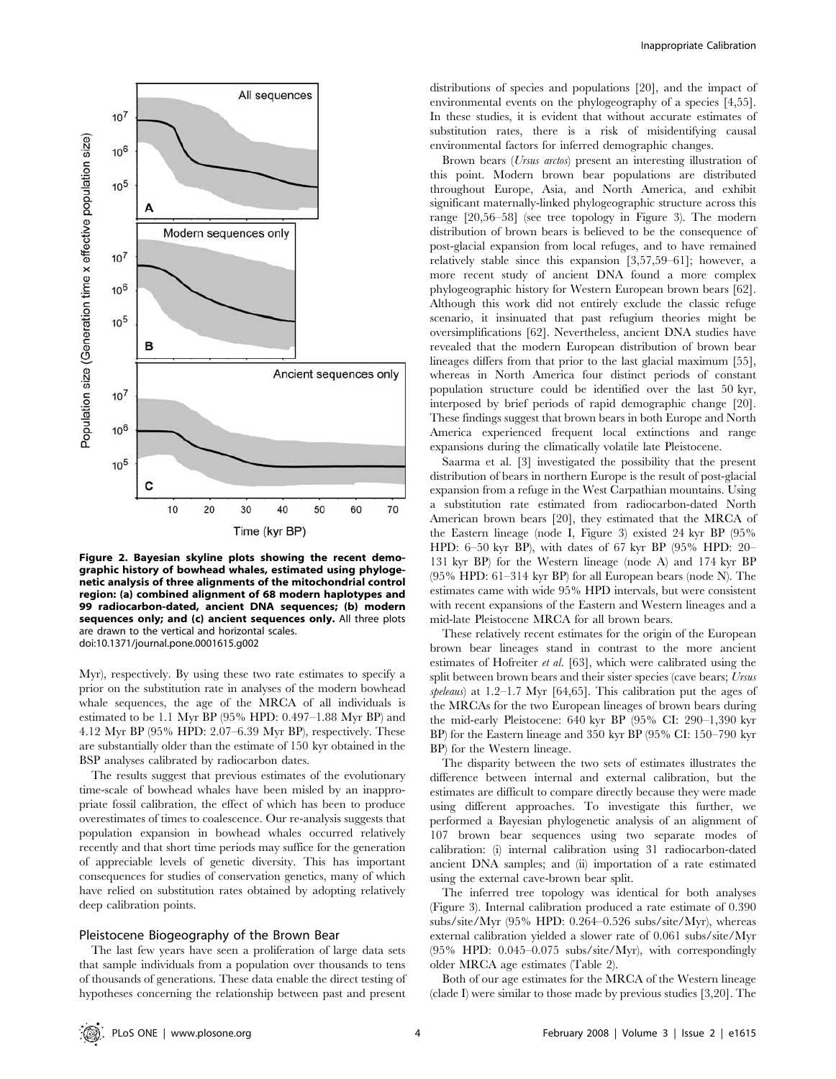

Figure 2. Bayesian skyline plots showing the recent demographic history of bowhead whales, estimated using phylogenetic analysis of three alignments of the mitochondrial control region: (a) combined alignment of 68 modern haplotypes and 99 radiocarbon-dated, ancient DNA sequences; (b) modern sequences only; and (c) ancient sequences only. All three plots are drawn to the vertical and horizontal scales. doi:10.1371/journal.pone.0001615.g002

Myr), respectively. By using these two rate estimates to specify a prior on the substitution rate in analyses of the modern bowhead whale sequences, the age of the MRCA of all individuals is estimated to be 1.1 Myr BP (95% HPD: 0.497–1.88 Myr BP) and 4.12 Myr BP (95% HPD: 2.07–6.39 Myr BP), respectively. These are substantially older than the estimate of 150 kyr obtained in the BSP analyses calibrated by radiocarbon dates.

The results suggest that previous estimates of the evolutionary time-scale of bowhead whales have been misled by an inappropriate fossil calibration, the effect of which has been to produce overestimates of times to coalescence. Our re-analysis suggests that population expansion in bowhead whales occurred relatively recently and that short time periods may suffice for the generation of appreciable levels of genetic diversity. This has important consequences for studies of conservation genetics, many of which have relied on substitution rates obtained by adopting relatively deep calibration points.

## Pleistocene Biogeography of the Brown Bear

The last few years have seen a proliferation of large data sets that sample individuals from a population over thousands to tens of thousands of generations. These data enable the direct testing of hypotheses concerning the relationship between past and present distributions of species and populations [20], and the impact of environmental events on the phylogeography of a species [4,55]. In these studies, it is evident that without accurate estimates of substitution rates, there is a risk of misidentifying causal environmental factors for inferred demographic changes.

Brown bears (*Ursus arctos*) present an interesting illustration of this point. Modern brown bear populations are distributed throughout Europe, Asia, and North America, and exhibit significant maternally-linked phylogeographic structure across this range [20,56–58] (see tree topology in Figure 3). The modern distribution of brown bears is believed to be the consequence of post-glacial expansion from local refuges, and to have remained relatively stable since this expansion [3,57,59–61]; however, a more recent study of ancient DNA found a more complex phylogeographic history for Western European brown bears [62]. Although this work did not entirely exclude the classic refuge scenario, it insinuated that past refugium theories might be oversimplifications [62]. Nevertheless, ancient DNA studies have revealed that the modern European distribution of brown bear lineages differs from that prior to the last glacial maximum [55], whereas in North America four distinct periods of constant population structure could be identified over the last 50 kyr, interposed by brief periods of rapid demographic change [20]. These findings suggest that brown bears in both Europe and North America experienced frequent local extinctions and range expansions during the climatically volatile late Pleistocene.

Saarma et al. [3] investigated the possibility that the present distribution of bears in northern Europe is the result of post-glacial expansion from a refuge in the West Carpathian mountains. Using a substitution rate estimated from radiocarbon-dated North American brown bears [20], they estimated that the MRCA of the Eastern lineage (node I, Figure 3) existed 24 kyr BP (95% HPD: 6–50 kyr BP), with dates of 67 kyr BP (95% HPD: 20– 131 kyr BP) for the Western lineage (node A) and 174 kyr BP (95% HPD: 61–314 kyr BP) for all European bears (node N). The estimates came with wide 95% HPD intervals, but were consistent with recent expansions of the Eastern and Western lineages and a mid-late Pleistocene MRCA for all brown bears.

These relatively recent estimates for the origin of the European brown bear lineages stand in contrast to the more ancient estimates of Hofreiter et al. [63], which were calibrated using the split between brown bears and their sister species (cave bears; Ursus speleaus) at 1.2–1.7 Myr [64,65]. This calibration put the ages of the MRCAs for the two European lineages of brown bears during the mid-early Pleistocene: 640 kyr BP (95% CI: 290–1,390 kyr BP) for the Eastern lineage and 350 kyr BP (95% CI: 150–790 kyr BP) for the Western lineage.

The disparity between the two sets of estimates illustrates the difference between internal and external calibration, but the estimates are difficult to compare directly because they were made using different approaches. To investigate this further, we performed a Bayesian phylogenetic analysis of an alignment of 107 brown bear sequences using two separate modes of calibration: (i) internal calibration using 31 radiocarbon-dated ancient DNA samples; and (ii) importation of a rate estimated using the external cave-brown bear split.

The inferred tree topology was identical for both analyses (Figure 3). Internal calibration produced a rate estimate of 0.390 subs/site/Myr (95% HPD: 0.264–0.526 subs/site/Myr), whereas external calibration yielded a slower rate of 0.061 subs/site/Myr (95% HPD: 0.045–0.075 subs/site/Myr), with correspondingly older MRCA age estimates (Table 2).

Both of our age estimates for the MRCA of the Western lineage (clade I) were similar to those made by previous studies [3,20]. The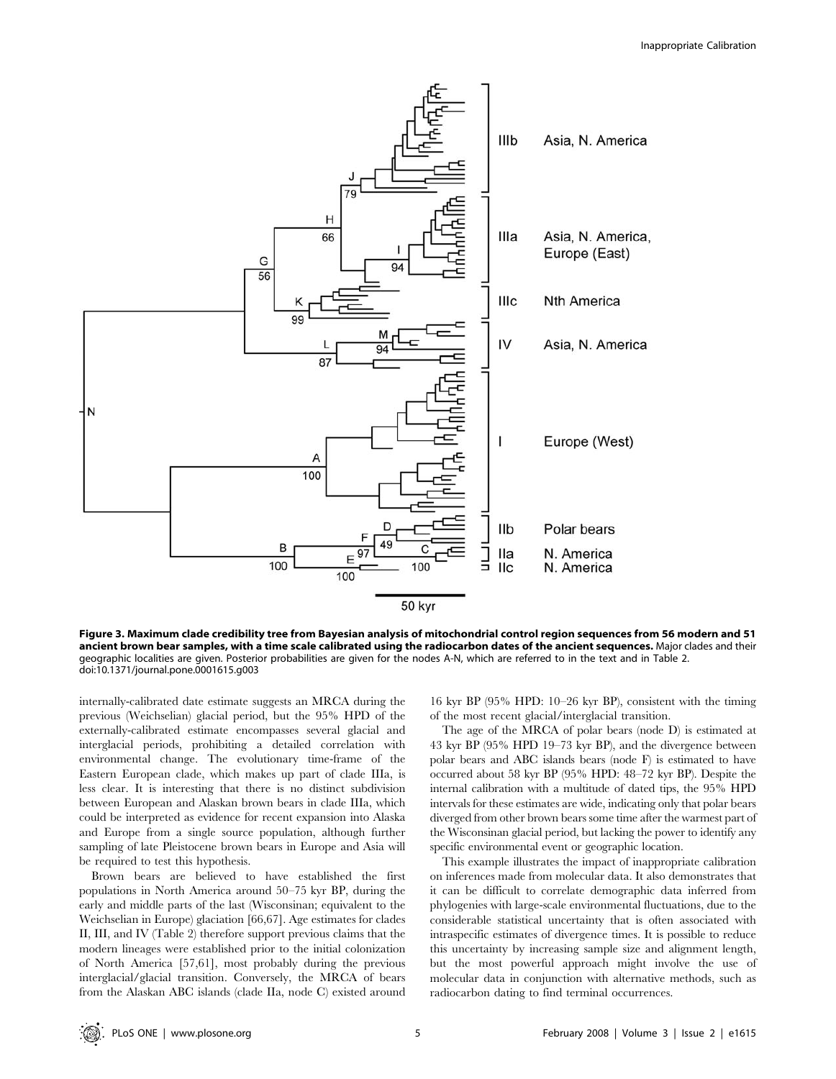

Figure 3. Maximum clade credibility tree from Bayesian analysis of mitochondrial control region sequences from 56 modern and 51 ancient brown bear samples, with a time scale calibrated using the radiocarbon dates of the ancient sequences. Major clades and their geographic localities are given. Posterior probabilities are given for the nodes A-N, which are referred to in the text and in Table 2. doi:10.1371/journal.pone.0001615.g003

internally-calibrated date estimate suggests an MRCA during the previous (Weichselian) glacial period, but the 95% HPD of the externally-calibrated estimate encompasses several glacial and interglacial periods, prohibiting a detailed correlation with environmental change. The evolutionary time-frame of the Eastern European clade, which makes up part of clade IIIa, is less clear. It is interesting that there is no distinct subdivision between European and Alaskan brown bears in clade IIIa, which could be interpreted as evidence for recent expansion into Alaska and Europe from a single source population, although further sampling of late Pleistocene brown bears in Europe and Asia will be required to test this hypothesis.

Brown bears are believed to have established the first populations in North America around 50–75 kyr BP, during the early and middle parts of the last (Wisconsinan; equivalent to the Weichselian in Europe) glaciation [66,67]. Age estimates for clades II, III, and IV (Table 2) therefore support previous claims that the modern lineages were established prior to the initial colonization of North America [57,61], most probably during the previous interglacial/glacial transition. Conversely, the MRCA of bears from the Alaskan ABC islands (clade IIa, node C) existed around

16 kyr BP (95% HPD: 10–26 kyr BP), consistent with the timing of the most recent glacial/interglacial transition.

The age of the MRCA of polar bears (node D) is estimated at 43 kyr BP (95% HPD 19–73 kyr BP), and the divergence between polar bears and ABC islands bears (node F) is estimated to have occurred about 58 kyr BP (95% HPD: 48–72 kyr BP). Despite the internal calibration with a multitude of dated tips, the 95% HPD intervals for these estimates are wide, indicating only that polar bears diverged from other brown bears some time after the warmest part of the Wisconsinan glacial period, but lacking the power to identify any specific environmental event or geographic location.

This example illustrates the impact of inappropriate calibration on inferences made from molecular data. It also demonstrates that it can be difficult to correlate demographic data inferred from phylogenies with large-scale environmental fluctuations, due to the considerable statistical uncertainty that is often associated with intraspecific estimates of divergence times. It is possible to reduce this uncertainty by increasing sample size and alignment length, but the most powerful approach might involve the use of molecular data in conjunction with alternative methods, such as radiocarbon dating to find terminal occurrences.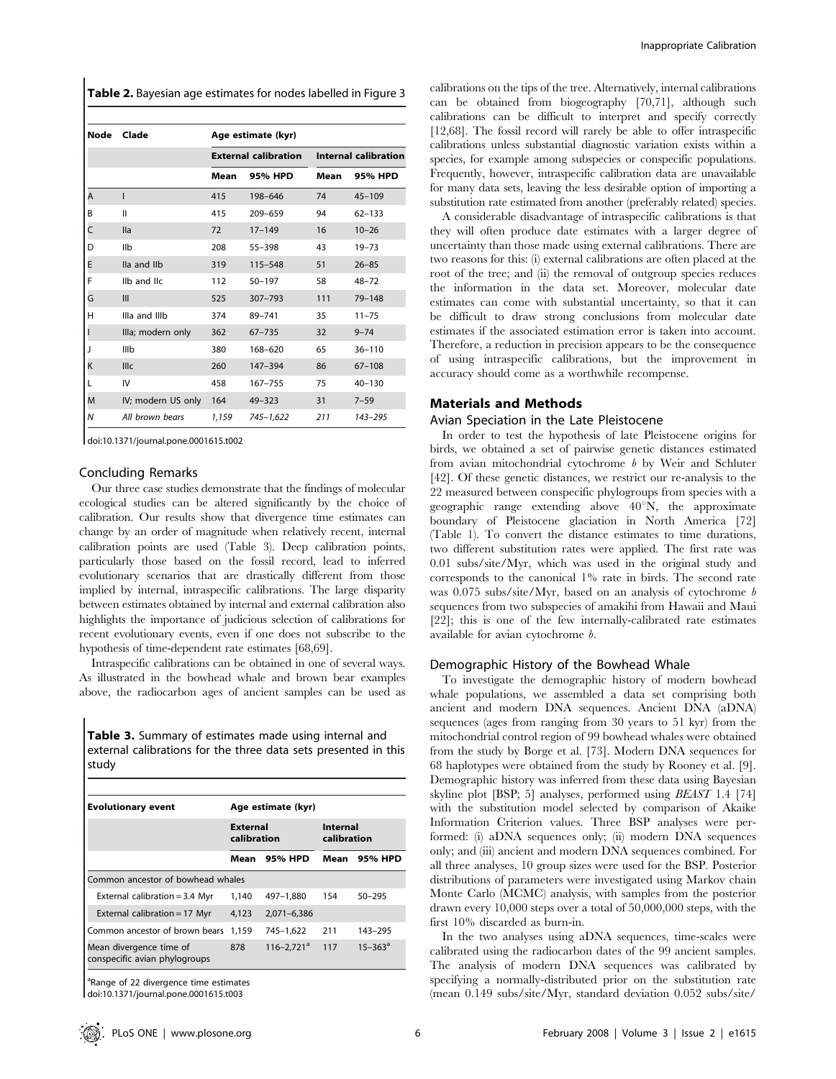Table 2. Bayesian age estimates for nodes labelled in Figure 3

| Node | Clade              | Age estimate (kyr) |                             |                             |            |  |  |
|------|--------------------|--------------------|-----------------------------|-----------------------------|------------|--|--|
|      |                    |                    | <b>External calibration</b> | <b>Internal calibration</b> |            |  |  |
|      |                    | Mean               | 95% HPD                     | Mean                        | 95% HPD    |  |  |
| A    | ı                  | 415                | 198-646                     | 74                          | $45 - 109$ |  |  |
| B    | Ш                  | 415                | 209-659                     | 94                          | $62 - 133$ |  |  |
| Ċ    | lla                | 72                 | $17 - 149$                  | 16                          | $10 - 26$  |  |  |
| D    | IIb                | 208                | 55-398                      | 43                          | $19 - 73$  |  |  |
| E    | lla and llb        | 319                | $115 - 548$                 | 51                          | $26 - 85$  |  |  |
| F    | Ilb and IIc        | 112                | $50 - 197$                  | 58                          | $48 - 72$  |  |  |
| G    | Ш                  | 525                | $307 - 793$                 | 111                         | $79 - 148$ |  |  |
| H    | Illa and IIIb      | 374                | 89-741                      | 35                          | $11 - 75$  |  |  |
|      | Illa; modern only  | 362                | $67 - 735$                  | 32                          | $9 - 74$   |  |  |
| J    | IIIb               | 380                | 168-620                     | 65                          | $36 - 110$ |  |  |
| K    | <b>IIIc</b>        | 260                | 147-394                     | 86                          | $67 - 108$ |  |  |
|      | IV                 | 458                | 167-755                     | 75                          | $40 - 130$ |  |  |
| M    | IV; modern US only | 164                | $49 - 323$                  | 31                          | $7 - 59$   |  |  |
| N    | All brown bears    | 1,159              | 745-1,622                   | 211                         | 143-295    |  |  |

doi:10.1371/journal.pone.0001615.t002

#### Concluding Remarks

Our three case studies demonstrate that the findings of molecular ecological studies can be altered significantly by the choice of calibration. Our results show that divergence time estimates can change by an order of magnitude when relatively recent, internal calibration points are used (Table 3). Deep calibration points, particularly those based on the fossil record, lead to inferred evolutionary scenarios that are drastically different from those implied by internal, intraspecific calibrations. The large disparity between estimates obtained by internal and external calibration also highlights the importance of judicious selection of calibrations for recent evolutionary events, even if one does not subscribe to the hypothesis of time-dependent rate estimates [68,69].

Intraspecific calibrations can be obtained in one of several ways. As illustrated in the bowhead whale and brown bear examples above, the radiocarbon ages of ancient samples can be used as

Table 3. Summary of estimates made using internal and external calibrations for the three data sets presented in this study

| <b>Evolutionary event</b>                                | Age estimate (kyr)             |                            |                         |              |  |  |
|----------------------------------------------------------|--------------------------------|----------------------------|-------------------------|--------------|--|--|
|                                                          | <b>External</b><br>calibration |                            | Internal<br>calibration |              |  |  |
|                                                          | Mean                           | 95% HPD                    | Mean                    | 95% HPD      |  |  |
| Common ancestor of bowhead whales                        |                                |                            |                         |              |  |  |
| External calibration = $3.4$ Myr                         | 1.140                          | 497-1.880                  | 154                     | $50 - 295$   |  |  |
| External calibration = 17 Myr                            | 4,123                          | $2,071-6,386$              |                         |              |  |  |
| Common ancestor of brown bears                           | 1,159                          | 745-1,622                  | 211                     | 143-295      |  |  |
| Mean divergence time of<br>conspecific avian phylogroups | 878                            | $116 - 2.721$ <sup>a</sup> | 117                     | $15 - 363^a$ |  |  |

<sup>a</sup>Range of 22 divergence time estimates doi:10.1371/journal.pone.0001615.t003

calibrations on the tips of the tree. Alternatively, internal calibrations can be obtained from biogeography [70,71], although such calibrations can be difficult to interpret and specify correctly [12,68]. The fossil record will rarely be able to offer intraspecific calibrations unless substantial diagnostic variation exists within a species, for example among subspecies or conspecific populations. Frequently, however, intraspecific calibration data are unavailable for many data sets, leaving the less desirable option of importing a substitution rate estimated from another (preferably related) species.

A considerable disadvantage of intraspecific calibrations is that they will often produce date estimates with a larger degree of uncertainty than those made using external calibrations. There are two reasons for this: (i) external calibrations are often placed at the root of the tree; and (ii) the removal of outgroup species reduces the information in the data set. Moreover, molecular date estimates can come with substantial uncertainty, so that it can be difficult to draw strong conclusions from molecular date estimates if the associated estimation error is taken into account. Therefore, a reduction in precision appears to be the consequence of using intraspecific calibrations, but the improvement in accuracy should come as a worthwhile recompense.

## Materials and Methods

#### Avian Speciation in the Late Pleistocene

In order to test the hypothesis of late Pleistocene origins for birds, we obtained a set of pairwise genetic distances estimated from avian mitochondrial cytochrome b by Weir and Schluter [42]. Of these genetic distances, we restrict our re-analysis to the 22 measured between conspecific phylogroups from species with a geographic range extending above 40°N, the approximate boundary of Pleistocene glaciation in North America [72] (Table 1). To convert the distance estimates to time durations, two different substitution rates were applied. The first rate was 0.01 subs/site/Myr, which was used in the original study and corresponds to the canonical 1% rate in birds. The second rate was 0.075 subs/site/Myr, based on an analysis of cytochrome b sequences from two subspecies of amakihi from Hawaii and Maui [22]; this is one of the few internally-calibrated rate estimates available for avian cytochrome b.

#### Demographic History of the Bowhead Whale

To investigate the demographic history of modern bowhead whale populations, we assembled a data set comprising both ancient and modern DNA sequences. Ancient DNA (aDNA) sequences (ages from ranging from 30 years to 51 kyr) from the mitochondrial control region of 99 bowhead whales were obtained from the study by Borge et al. [73]. Modern DNA sequences for 68 haplotypes were obtained from the study by Rooney et al. [9]. Demographic history was inferred from these data using Bayesian skyline plot [BSP; 5] analyses, performed using BEAST 1.4 [74] with the substitution model selected by comparison of Akaike Information Criterion values. Three BSP analyses were performed: (i) aDNA sequences only; (ii) modern DNA sequences only; and (iii) ancient and modern DNA sequences combined. For all three analyses, 10 group sizes were used for the BSP. Posterior distributions of parameters were investigated using Markov chain Monte Carlo (MCMC) analysis, with samples from the posterior drawn every 10,000 steps over a total of 50,000,000 steps, with the first 10% discarded as burn-in.

In the two analyses using aDNA sequences, time-scales were calibrated using the radiocarbon dates of the 99 ancient samples. The analysis of modern DNA sequences was calibrated by specifying a normally-distributed prior on the substitution rate (mean 0.149 subs/site/Myr, standard deviation 0.052 subs/site/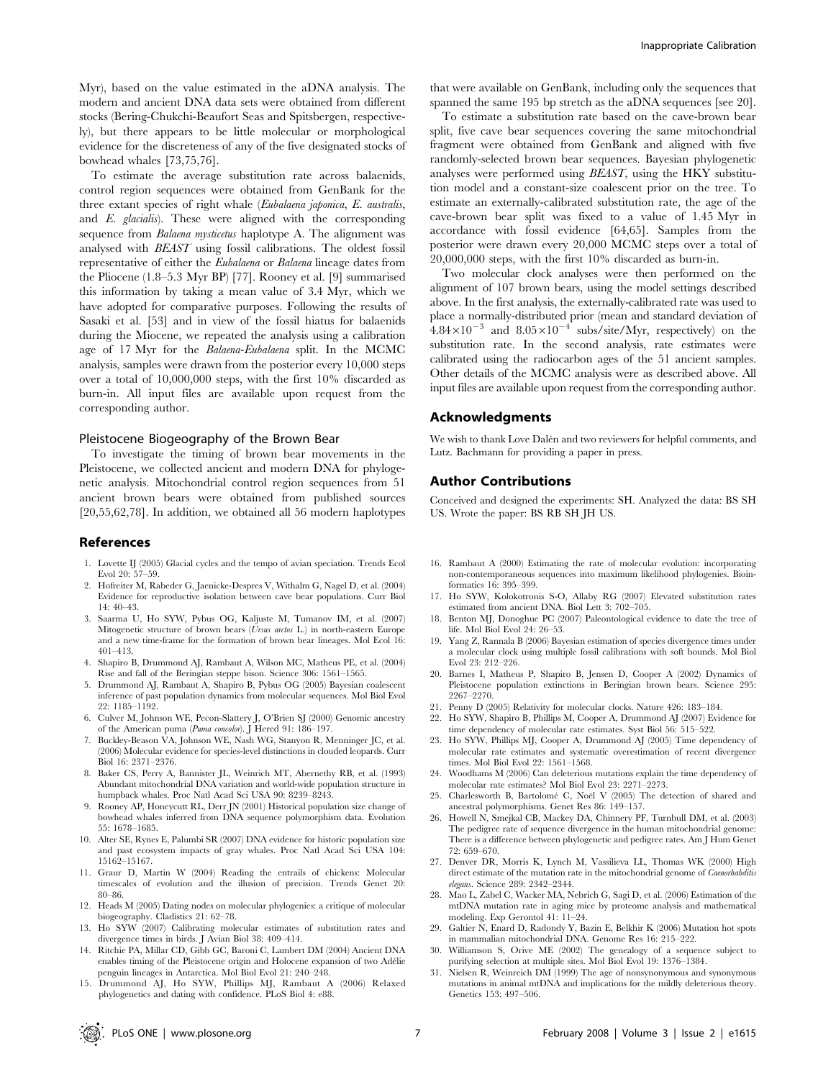Myr), based on the value estimated in the aDNA analysis. The modern and ancient DNA data sets were obtained from different stocks (Bering-Chukchi-Beaufort Seas and Spitsbergen, respectively), but there appears to be little molecular or morphological evidence for the discreteness of any of the five designated stocks of bowhead whales [73,75,76].

To estimate the average substitution rate across balaenids, control region sequences were obtained from GenBank for the three extant species of right whale (Eubalaena japonica, E. australis, and E. glacialis). These were aligned with the corresponding sequence from *Balaena mysticetus* haplotype A. The alignment was analysed with BEAST using fossil calibrations. The oldest fossil representative of either the Eubalaena or Balaena lineage dates from the Pliocene (1.8–5.3 Myr BP) [77]. Rooney et al. [9] summarised this information by taking a mean value of 3.4 Myr, which we have adopted for comparative purposes. Following the results of Sasaki et al. [53] and in view of the fossil hiatus for balaenids during the Miocene, we repeated the analysis using a calibration age of 17 Myr for the Balaena-Eubalaena split. In the MCMC analysis, samples were drawn from the posterior every 10,000 steps over a total of 10,000,000 steps, with the first 10% discarded as burn-in. All input files are available upon request from the corresponding author.

### Pleistocene Biogeography of the Brown Bear

To investigate the timing of brown bear movements in the Pleistocene, we collected ancient and modern DNA for phylogenetic analysis. Mitochondrial control region sequences from 51 ancient brown bears were obtained from published sources [20,55,62,78]. In addition, we obtained all 56 modern haplotypes

#### References

- 1. Lovette IJ (2005) Glacial cycles and the tempo of avian speciation. Trends Ecol Evol 20: 57–59.
- 2. Hofreiter M, Rabeder G, Jaenicke-Despres V, Withalm G, Nagel D, et al. (2004) Evidence for reproductive isolation between cave bear populations. Curr Biol 14: 40–43.
- 3. Saarma U, Ho SYW, Pybus OG, Kaljuste M, Tumanov IM, et al. (2007) Mitogenetic structure of brown bears (Ursus arctos L.) in north-eastern Europe and a new time-frame for the formation of brown bear lineages. Mol Ecol 16: 401–413.
- 4. Shapiro B, Drummond AJ, Rambaut A, Wilson MC, Matheus PE, et al. (2004) Rise and fall of the Beringian steppe bison. Science 306: 1561–1565.
- 5. Drummond AJ, Rambaut A, Shapiro B, Pybus OG (2005) Bayesian coalescent inference of past population dynamics from molecular sequences. Mol Biol Evol 22: 1185–1192.
- 6. Culver M, Johnson WE, Pecon-Slattery J, O'Brien SJ (2000) Genomic ancestry of the American puma (Puma concolor). J Hered 91: 186–197.
- 7. Buckley-Beason VA, Johnson WE, Nash WG, Stanyon R, Menninger JC, et al. (2006) Molecular evidence for species-level distinctions in clouded leopards. Curr Biol 16: 2371–2376.
- 8. Baker CS, Perry A, Bannister JL, Weinrich MT, Abernethy RB, et al. (1993) Abundant mitochondrial DNA variation and world-wide population structure in humpback whales. Proc Natl Acad Sci USA 90: 8239–8243.
- 9. Rooney AP, Honeycutt RL, Derr JN (2001) Historical population size change of bowhead whales inferred from DNA sequence polymorphism data. Evolution 55: 1678–1685.
- 10. Alter SE, Rynes E, Palumbi SR (2007) DNA evidence for historic population size and past ecosystem impacts of gray whales. Proc Natl Acad Sci USA 104: 15162–15167.
- 11. Graur D, Martin W (2004) Reading the entrails of chickens: Molecular timescales of evolution and the illusion of precision. Trends Genet 20: 80–86.
- 12. Heads M (2005) Dating nodes on molecular phylogenies: a critique of molecular biogeography. Cladistics 21: 62–78.
- 13. Ho SYW (2007) Calibrating molecular estimates of substitution rates and divergence times in birds. J Avian Biol 38: 409–414.
- 14. Ritchie PA, Millar CD, Gibb GC, Baroni C, Lambert DM (2004) Ancient DNA enables timing of the Pleistocene origin and Holocene expansion of two Adélie penguin lineages in Antarctica. Mol Biol Evol 21: 240–248.
- 15. Drummond AJ, Ho SYW, Phillips MJ, Rambaut A (2006) Relaxed phylogenetics and dating with confidence. PLoS Biol 4: e88.

that were available on GenBank, including only the sequences that spanned the same 195 bp stretch as the aDNA sequences [see 20].

To estimate a substitution rate based on the cave-brown bear split, five cave bear sequences covering the same mitochondrial fragment were obtained from GenBank and aligned with five randomly-selected brown bear sequences. Bayesian phylogenetic analyses were performed using BEAST, using the HKY substitution model and a constant-size coalescent prior on the tree. To estimate an externally-calibrated substitution rate, the age of the cave-brown bear split was fixed to a value of 1.45 Myr in accordance with fossil evidence [64,65]. Samples from the posterior were drawn every 20,000 MCMC steps over a total of 20,000,000 steps, with the first 10% discarded as burn-in.

Two molecular clock analyses were then performed on the alignment of 107 brown bears, using the model settings described above. In the first analysis, the externally-calibrated rate was used to place a normally-distributed prior (mean and standard deviation of  $4.84\times10^{-3}$  and  $8.05\times10^{-4}$  subs/site/Myr, respectively) on the substitution rate. In the second analysis, rate estimates were calibrated using the radiocarbon ages of the 51 ancient samples. Other details of the MCMC analysis were as described above. All input files are available upon request from the corresponding author.

## Acknowledgments

We wish to thank Love Dalén and two reviewers for helpful comments, and Lutz. Bachmann for providing a paper in press.

## Author Contributions

Conceived and designed the experiments: SH. Analyzed the data: BS SH US. Wrote the paper: BS RB SH JH US.

- 16. Rambaut A (2000) Estimating the rate of molecular evolution: incorporating non-contemporaneous sequences into maximum likelihood phylogenies. Bioinformatics 16: 395–399.
- 17. Ho SYW, Kolokotronis S-O, Allaby RG (2007) Elevated substitution rates estimated from ancient DNA. Biol Lett 3: 702–705.
- 18. Benton MJ, Donoghue PC (2007) Paleontological evidence to date the tree of life. Mol Biol Evol 24: 26–53.
- 19. Yang Z, Rannala B (2006) Bayesian estimation of species divergence times under a molecular clock using multiple fossil calibrations with soft bounds. Mol Biol Evol 23: 212–226.
- 20. Barnes I, Matheus P, Shapiro B, Jensen D, Cooper A (2002) Dynamics of Pleistocene population extinctions in Beringian brown bears. Science 295: 2267–2270.
- 21. Penny D (2005) Relativity for molecular clocks. Nature 426: 183–184.
- 22. Ho SYW, Shapiro B, Phillips M, Cooper A, Drummond AJ (2007) Evidence for time dependency of molecular rate estimates. Syst Biol 56: 515–522.
- 23. Ho SYW, Phillips MJ, Cooper A, Drummond AJ (2005) Time dependency of molecular rate estimates and systematic overestimation of recent divergence times. Mol Biol Evol 22: 1561–1568.
- 24. Woodhams M (2006) Can deleterious mutations explain the time dependency of molecular rate estimates? Mol Biol Evol 23: 2271–2273.
- 25. Charlesworth B, Bartolomé C, Noël V (2005) The detection of shared and ancestral polymorphisms. Genet Res 86: 149–157.
- 26. Howell N, Smejkal CB, Mackey DA, Chinnery PF, Turnbull DM, et al. (2003) The pedigree rate of sequence divergence in the human mitochondrial genome: There is a difference between phylogenetic and pedigree rates. Am J Hum Genet 72: 659–670.
- 27. Denver DR, Morris K, Lynch M, Vassilieva LL, Thomas WK (2000) High direct estimate of the mutation rate in the mitochondrial genome of Caenorhabditis elegans. Science 289: 2342–2344.
- 28. Mao L, Zabel C, Wacker MA, Nebrich G, Sagi D, et al. (2006) Estimation of the mtDNA mutation rate in aging mice by proteome analysis and mathematical modeling. Exp Gerontol 41: 11–24.
- 29. Galtier N, Enard D, Radondy Y, Bazin E, Belkhir K (2006) Mutation hot spots in mammalian mitochondrial DNA. Genome Res 16: 215–222.
- 30. Williamson S, Orive ME (2002) The genealogy of a sequence subject to purifying selection at multiple sites. Mol Biol Evol 19: 1376–1384.
- 31. Nielsen R, Weinreich DM (1999) The age of nonsynonymous and synonymous mutations in animal mtDNA and implications for the mildly deleterious theory. Genetics 153: 497–506.